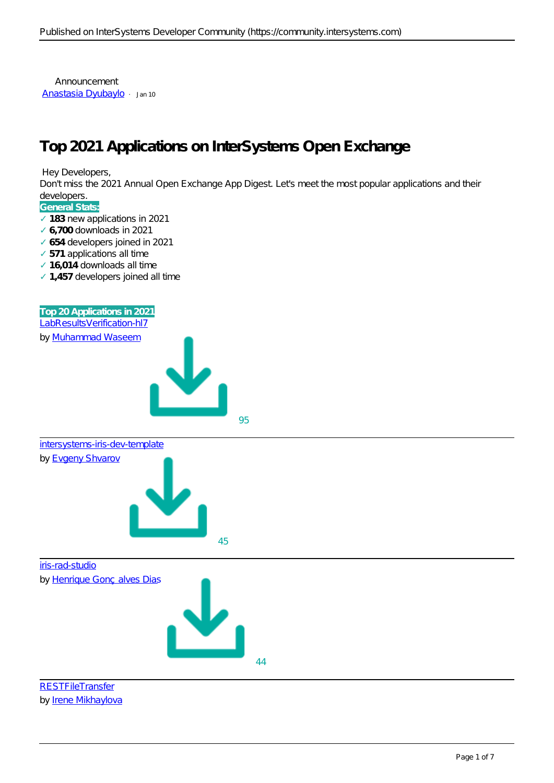Announcement [Anastasia Dyubaylo](https://community.intersystems.com/user/anastasia-dyubaylo) · Jan 10

## **Top 2021 Applications on InterSystems Open Exchange**

Hey Developers,

Don't miss the 2021 Annual Open Exchange App Digest. Let's meet the most popular applications and their developers.

## **General Stats:**

183 new applications in 2021  **6,700** downloads in 2021  **654** developers joined in 2021 **571** applications all time  **16,014** downloads all time  **1,457** developers joined all time







*by* [Irene Mikhaylova](https://openexchange.intersystems.com/user/Irene%20Mikhaylova/LpjKVkUV85nLwnE5PxElUh3YiJc)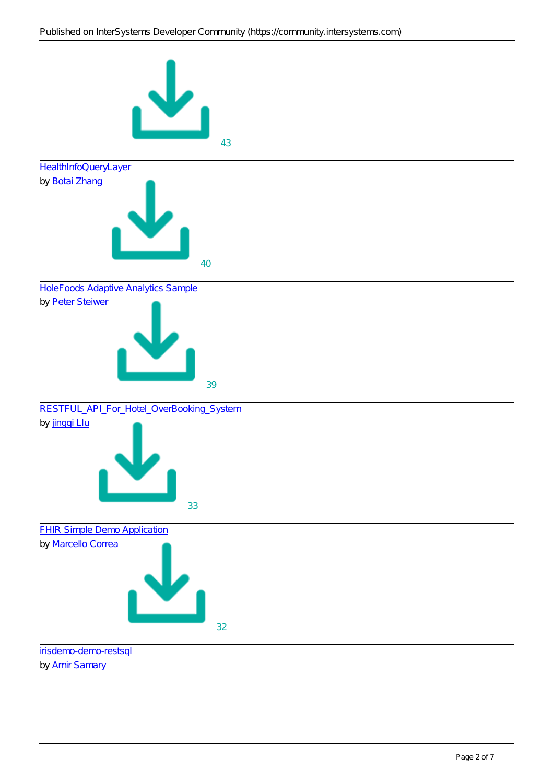

*by* [Amir Samary](https://openexchange.intersystems.com/user/Amir%20Samary/dFC7p6uSfRl8b7NGGGChQvkh0)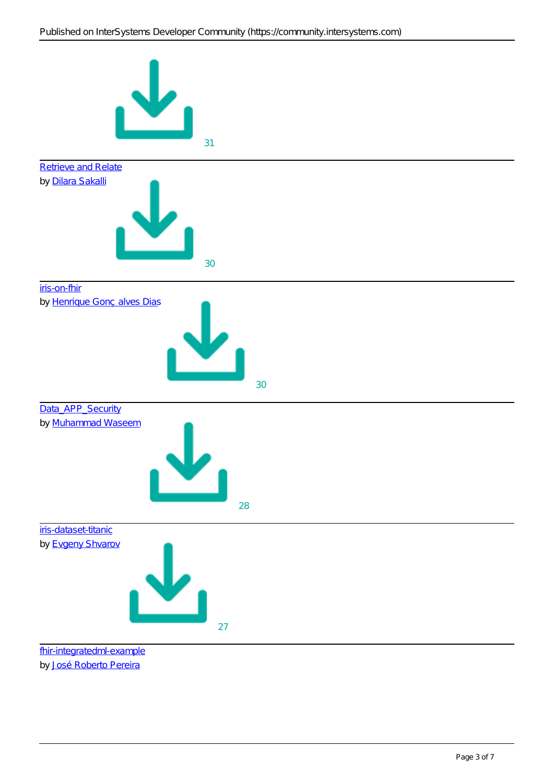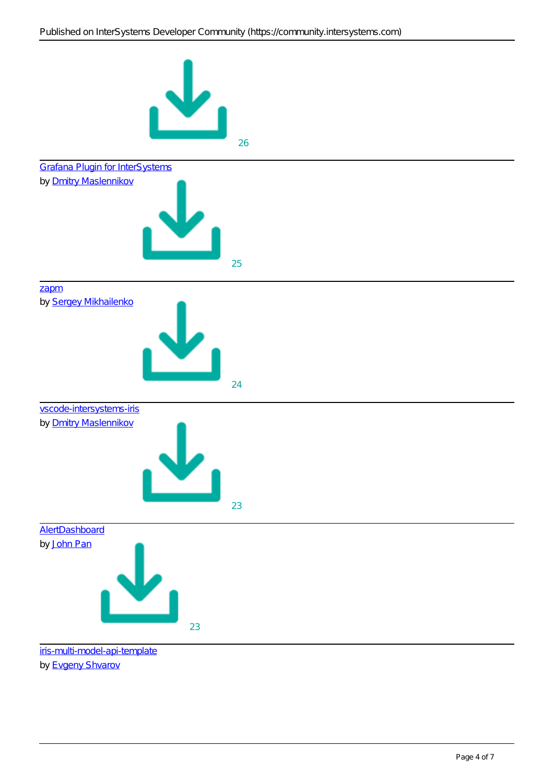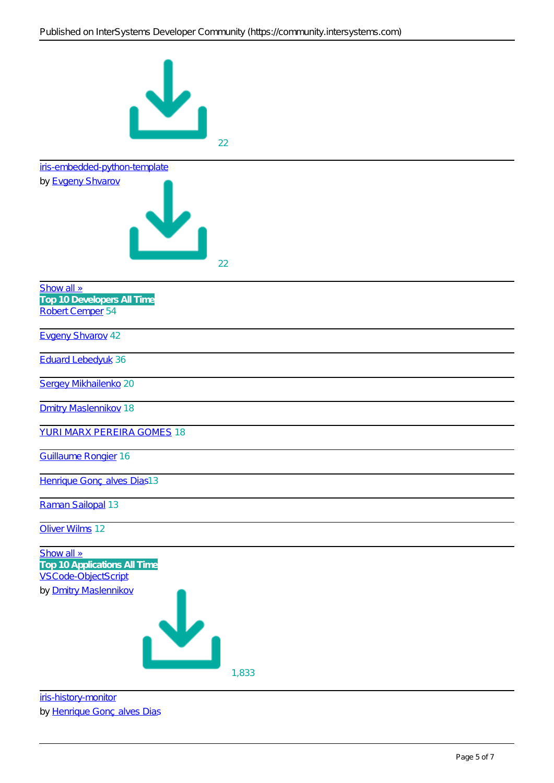

[iris-history-monitor](https://openexchange.intersystems.com/package/iris-history-monitor)

by [Henrique Gonçalves Dias](https://openexchange.intersystems.com/user/Henrique%20Gon%C3%A7alves%20Dias/XeIFAGhsaBMOJPRLEckuZ8bSE)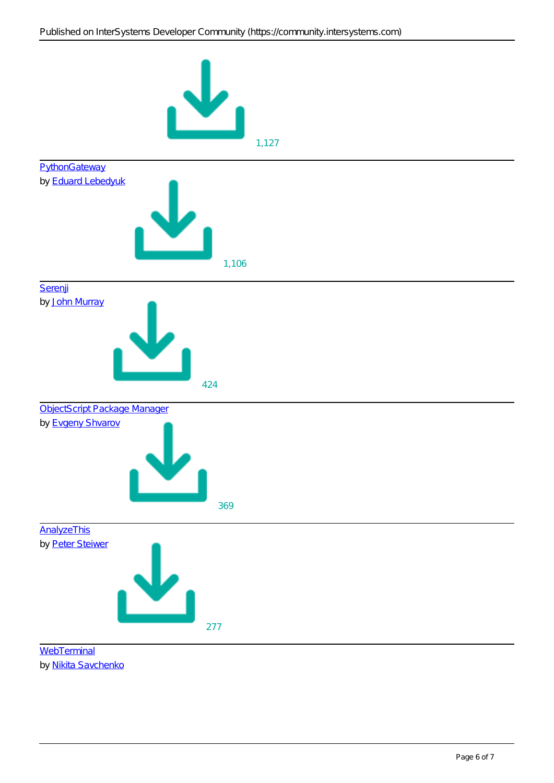